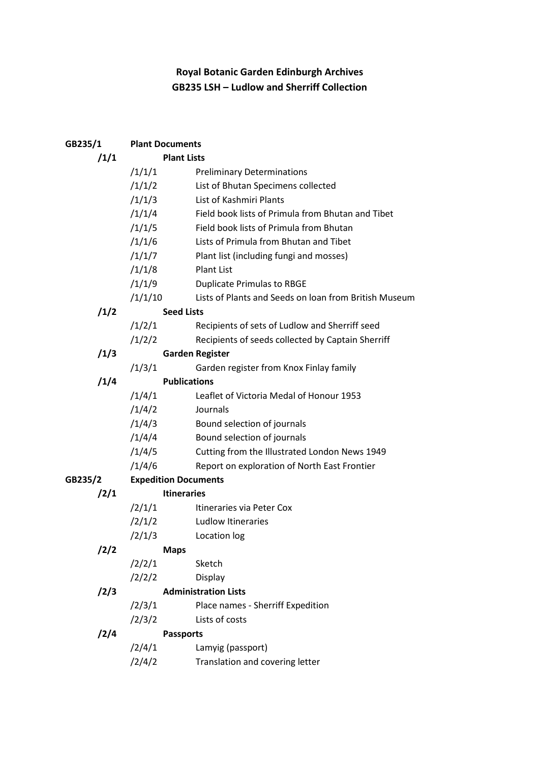## Royal Botanic Garden Edinburgh Archives GB235 LSH – Ludlow and Sherriff Collection

| GB235/1 | <b>Plant Documents</b>      |                                                       |  |
|---------|-----------------------------|-------------------------------------------------------|--|
| /1/1    | <b>Plant Lists</b>          |                                                       |  |
|         | /1/1/1                      | <b>Preliminary Determinations</b>                     |  |
|         | /1/1/2                      | List of Bhutan Specimens collected                    |  |
|         | /1/1/3                      | List of Kashmiri Plants                               |  |
|         | /1/1/4                      | Field book lists of Primula from Bhutan and Tibet     |  |
|         | /1/1/5                      | Field book lists of Primula from Bhutan               |  |
|         | /1/1/6                      | Lists of Primula from Bhutan and Tibet                |  |
|         | /1/1/7                      | Plant list (including fungi and mosses)               |  |
|         | /1/1/8                      | <b>Plant List</b>                                     |  |
|         | /1/1/9                      | <b>Duplicate Primulas to RBGE</b>                     |  |
|         | /1/1/10                     | Lists of Plants and Seeds on loan from British Museum |  |
| /1/2    | <b>Seed Lists</b>           |                                                       |  |
|         | /1/2/1                      | Recipients of sets of Ludlow and Sherriff seed        |  |
|         | /1/2/2                      | Recipients of seeds collected by Captain Sherriff     |  |
| /1/3    |                             | <b>Garden Register</b>                                |  |
|         | /1/3/1                      | Garden register from Knox Finlay family               |  |
| /1/4    | <b>Publications</b>         |                                                       |  |
|         | /1/4/1                      | Leaflet of Victoria Medal of Honour 1953              |  |
|         | /1/4/2                      | Journals                                              |  |
|         | /1/4/3                      | Bound selection of journals                           |  |
|         | /1/4/4                      | Bound selection of journals                           |  |
|         | /1/4/5                      | Cutting from the Illustrated London News 1949         |  |
|         | /1/4/6                      | Report on exploration of North East Frontier          |  |
| GB235/2 | <b>Expedition Documents</b> |                                                       |  |
| /2/1    |                             | <b>Itineraries</b>                                    |  |
|         | /2/1/1                      | Itineraries via Peter Cox                             |  |
|         | /2/1/2                      | Ludlow Itineraries                                    |  |
|         | /2/1/3                      | Location log                                          |  |
| /2/2    |                             | <b>Maps</b>                                           |  |
|         | /2/2/1                      | Sketch                                                |  |
|         | /2/2/2                      | Display                                               |  |
| /2/3    |                             | <b>Administration Lists</b>                           |  |
|         | /2/3/1                      | Place names - Sherriff Expedition                     |  |
|         | /2/3/2                      | Lists of costs                                        |  |
| /2/4    |                             | <b>Passports</b>                                      |  |
|         | /2/4/1                      | Lamyig (passport)                                     |  |
|         | /2/4/2                      | Translation and covering letter                       |  |
|         |                             |                                                       |  |